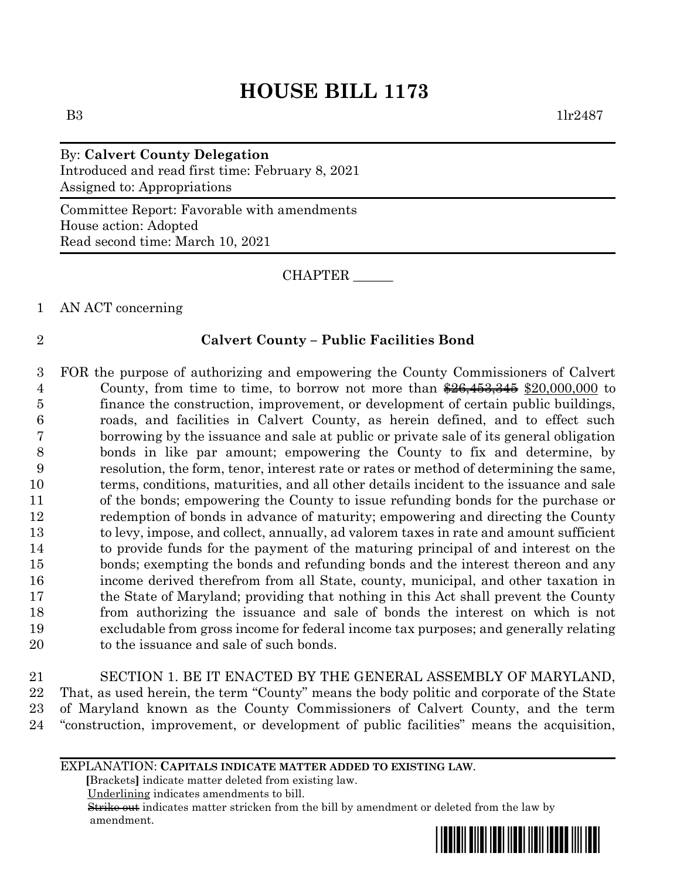# **HOUSE BILL 1173**

By: **Calvert County Delegation** Introduced and read first time: February 8, 2021 Assigned to: Appropriations

Committee Report: Favorable with amendments House action: Adopted Read second time: March 10, 2021

CHAPTER \_\_\_\_\_\_

1 AN ACT concerning

## 2 **Calvert County – Public Facilities Bond**

 FOR the purpose of authorizing and empowering the County Commissioners of Calvert 4 County, from time to time, to borrow not more than  $26,453,345$  \$20,000,000 to finance the construction, improvement, or development of certain public buildings, roads, and facilities in Calvert County, as herein defined, and to effect such borrowing by the issuance and sale at public or private sale of its general obligation bonds in like par amount; empowering the County to fix and determine, by resolution, the form, tenor, interest rate or rates or method of determining the same, terms, conditions, maturities, and all other details incident to the issuance and sale of the bonds; empowering the County to issue refunding bonds for the purchase or redemption of bonds in advance of maturity; empowering and directing the County to levy, impose, and collect, annually, ad valorem taxes in rate and amount sufficient to provide funds for the payment of the maturing principal of and interest on the bonds; exempting the bonds and refunding bonds and the interest thereon and any income derived therefrom from all State, county, municipal, and other taxation in the State of Maryland; providing that nothing in this Act shall prevent the County from authorizing the issuance and sale of bonds the interest on which is not excludable from gross income for federal income tax purposes; and generally relating 20 to the issuance and sale of such bonds.

 SECTION 1. BE IT ENACTED BY THE GENERAL ASSEMBLY OF MARYLAND, That, as used herein, the term "County" means the body politic and corporate of the State of Maryland known as the County Commissioners of Calvert County, and the term "construction, improvement, or development of public facilities" means the acquisition,

### EXPLANATION: **CAPITALS INDICATE MATTER ADDED TO EXISTING LAW**.

 **[**Brackets**]** indicate matter deleted from existing law.

Underlining indicates amendments to bill.

 Strike out indicates matter stricken from the bill by amendment or deleted from the law by amendment.

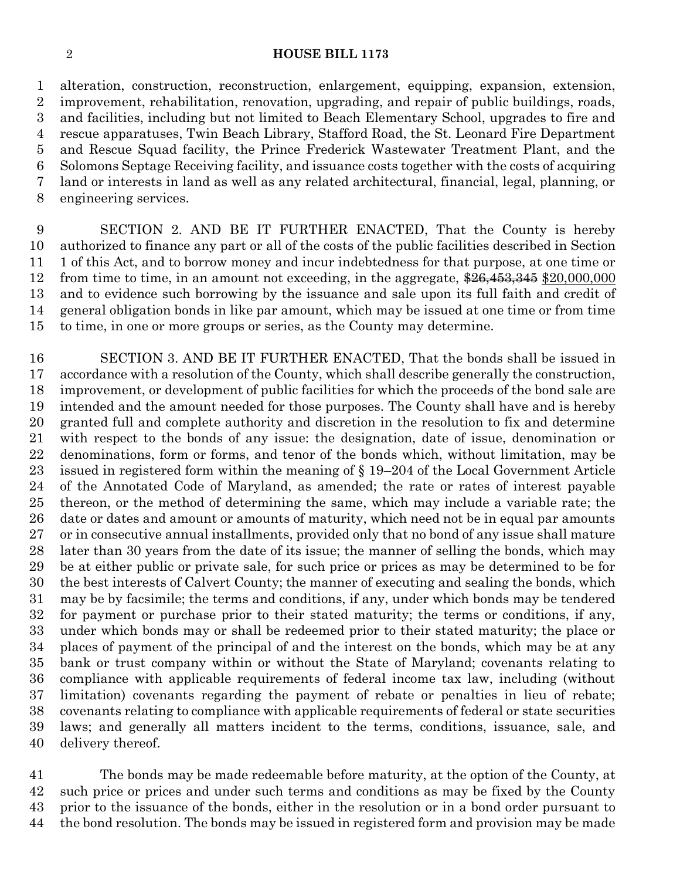#### **HOUSE BILL 1173**

 alteration, construction, reconstruction, enlargement, equipping, expansion, extension, improvement, rehabilitation, renovation, upgrading, and repair of public buildings, roads, and facilities, including but not limited to Beach Elementary School, upgrades to fire and rescue apparatuses, Twin Beach Library, Stafford Road, the St. Leonard Fire Department and Rescue Squad facility, the Prince Frederick Wastewater Treatment Plant, and the Solomons Septage Receiving facility, and issuance costs together with the costs of acquiring land or interests in land as well as any related architectural, financial, legal, planning, or engineering services.

 SECTION 2. AND BE IT FURTHER ENACTED, That the County is hereby authorized to finance any part or all of the costs of the public facilities described in Section 1 of this Act, and to borrow money and incur indebtedness for that purpose, at one time or 12 from time to time, in an amount not exceeding, in the aggregate,  $\frac{26}{453,345}$  \$20,000,000 and to evidence such borrowing by the issuance and sale upon its full faith and credit of general obligation bonds in like par amount, which may be issued at one time or from time to time, in one or more groups or series, as the County may determine.

 SECTION 3. AND BE IT FURTHER ENACTED, That the bonds shall be issued in accordance with a resolution of the County, which shall describe generally the construction, improvement, or development of public facilities for which the proceeds of the bond sale are intended and the amount needed for those purposes. The County shall have and is hereby granted full and complete authority and discretion in the resolution to fix and determine with respect to the bonds of any issue: the designation, date of issue, denomination or denominations, form or forms, and tenor of the bonds which, without limitation, may be issued in registered form within the meaning of § 19–204 of the Local Government Article of the Annotated Code of Maryland, as amended; the rate or rates of interest payable thereon, or the method of determining the same, which may include a variable rate; the date or dates and amount or amounts of maturity, which need not be in equal par amounts or in consecutive annual installments, provided only that no bond of any issue shall mature later than 30 years from the date of its issue; the manner of selling the bonds, which may be at either public or private sale, for such price or prices as may be determined to be for the best interests of Calvert County; the manner of executing and sealing the bonds, which may be by facsimile; the terms and conditions, if any, under which bonds may be tendered for payment or purchase prior to their stated maturity; the terms or conditions, if any, under which bonds may or shall be redeemed prior to their stated maturity; the place or places of payment of the principal of and the interest on the bonds, which may be at any bank or trust company within or without the State of Maryland; covenants relating to compliance with applicable requirements of federal income tax law, including (without limitation) covenants regarding the payment of rebate or penalties in lieu of rebate; covenants relating to compliance with applicable requirements of federal or state securities laws; and generally all matters incident to the terms, conditions, issuance, sale, and delivery thereof.

 The bonds may be made redeemable before maturity, at the option of the County, at such price or prices and under such terms and conditions as may be fixed by the County prior to the issuance of the bonds, either in the resolution or in a bond order pursuant to the bond resolution. The bonds may be issued in registered form and provision may be made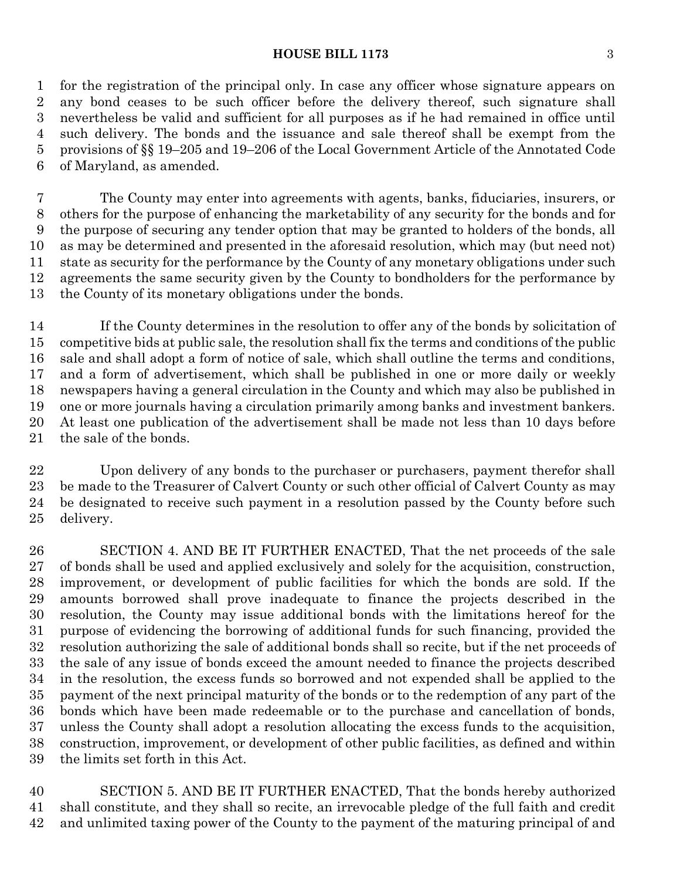#### **HOUSE BILL 1173** 3

 for the registration of the principal only. In case any officer whose signature appears on any bond ceases to be such officer before the delivery thereof, such signature shall nevertheless be valid and sufficient for all purposes as if he had remained in office until such delivery. The bonds and the issuance and sale thereof shall be exempt from the provisions of §§ 19–205 and 19–206 of the Local Government Article of the Annotated Code of Maryland, as amended.

 The County may enter into agreements with agents, banks, fiduciaries, insurers, or others for the purpose of enhancing the marketability of any security for the bonds and for the purpose of securing any tender option that may be granted to holders of the bonds, all as may be determined and presented in the aforesaid resolution, which may (but need not) state as security for the performance by the County of any monetary obligations under such agreements the same security given by the County to bondholders for the performance by the County of its monetary obligations under the bonds.

 If the County determines in the resolution to offer any of the bonds by solicitation of competitive bids at public sale, the resolution shall fix the terms and conditions of the public sale and shall adopt a form of notice of sale, which shall outline the terms and conditions, and a form of advertisement, which shall be published in one or more daily or weekly newspapers having a general circulation in the County and which may also be published in one or more journals having a circulation primarily among banks and investment bankers. At least one publication of the advertisement shall be made not less than 10 days before the sale of the bonds.

 Upon delivery of any bonds to the purchaser or purchasers, payment therefor shall be made to the Treasurer of Calvert County or such other official of Calvert County as may be designated to receive such payment in a resolution passed by the County before such delivery.

 SECTION 4. AND BE IT FURTHER ENACTED, That the net proceeds of the sale of bonds shall be used and applied exclusively and solely for the acquisition, construction, improvement, or development of public facilities for which the bonds are sold. If the amounts borrowed shall prove inadequate to finance the projects described in the resolution, the County may issue additional bonds with the limitations hereof for the purpose of evidencing the borrowing of additional funds for such financing, provided the resolution authorizing the sale of additional bonds shall so recite, but if the net proceeds of the sale of any issue of bonds exceed the amount needed to finance the projects described in the resolution, the excess funds so borrowed and not expended shall be applied to the payment of the next principal maturity of the bonds or to the redemption of any part of the bonds which have been made redeemable or to the purchase and cancellation of bonds, unless the County shall adopt a resolution allocating the excess funds to the acquisition, construction, improvement, or development of other public facilities, as defined and within the limits set forth in this Act.

 SECTION 5. AND BE IT FURTHER ENACTED, That the bonds hereby authorized shall constitute, and they shall so recite, an irrevocable pledge of the full faith and credit and unlimited taxing power of the County to the payment of the maturing principal of and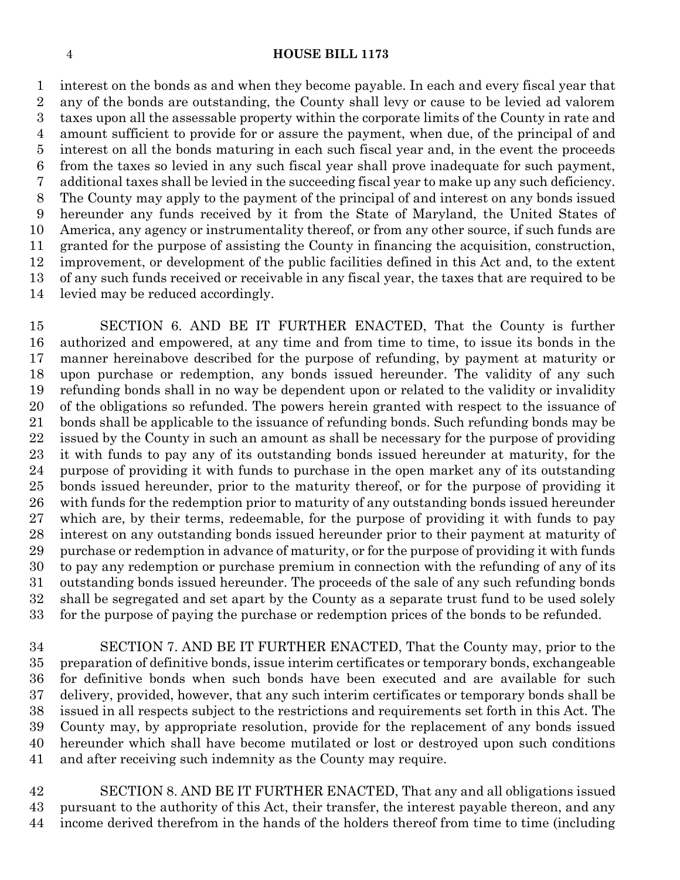#### **HOUSE BILL 1173**

 interest on the bonds as and when they become payable. In each and every fiscal year that any of the bonds are outstanding, the County shall levy or cause to be levied ad valorem taxes upon all the assessable property within the corporate limits of the County in rate and amount sufficient to provide for or assure the payment, when due, of the principal of and interest on all the bonds maturing in each such fiscal year and, in the event the proceeds from the taxes so levied in any such fiscal year shall prove inadequate for such payment, additional taxes shall be levied in the succeeding fiscal year to make up any such deficiency. The County may apply to the payment of the principal of and interest on any bonds issued hereunder any funds received by it from the State of Maryland, the United States of America, any agency or instrumentality thereof, or from any other source, if such funds are granted for the purpose of assisting the County in financing the acquisition, construction, improvement, or development of the public facilities defined in this Act and, to the extent of any such funds received or receivable in any fiscal year, the taxes that are required to be levied may be reduced accordingly.

 SECTION 6. AND BE IT FURTHER ENACTED, That the County is further authorized and empowered, at any time and from time to time, to issue its bonds in the manner hereinabove described for the purpose of refunding, by payment at maturity or upon purchase or redemption, any bonds issued hereunder. The validity of any such refunding bonds shall in no way be dependent upon or related to the validity or invalidity of the obligations so refunded. The powers herein granted with respect to the issuance of bonds shall be applicable to the issuance of refunding bonds. Such refunding bonds may be issued by the County in such an amount as shall be necessary for the purpose of providing it with funds to pay any of its outstanding bonds issued hereunder at maturity, for the purpose of providing it with funds to purchase in the open market any of its outstanding bonds issued hereunder, prior to the maturity thereof, or for the purpose of providing it with funds for the redemption prior to maturity of any outstanding bonds issued hereunder which are, by their terms, redeemable, for the purpose of providing it with funds to pay interest on any outstanding bonds issued hereunder prior to their payment at maturity of purchase or redemption in advance of maturity, or for the purpose of providing it with funds to pay any redemption or purchase premium in connection with the refunding of any of its outstanding bonds issued hereunder. The proceeds of the sale of any such refunding bonds shall be segregated and set apart by the County as a separate trust fund to be used solely for the purpose of paying the purchase or redemption prices of the bonds to be refunded.

 SECTION 7. AND BE IT FURTHER ENACTED, That the County may, prior to the preparation of definitive bonds, issue interim certificates or temporary bonds, exchangeable for definitive bonds when such bonds have been executed and are available for such delivery, provided, however, that any such interim certificates or temporary bonds shall be issued in all respects subject to the restrictions and requirements set forth in this Act. The County may, by appropriate resolution, provide for the replacement of any bonds issued hereunder which shall have become mutilated or lost or destroyed upon such conditions and after receiving such indemnity as the County may require.

 SECTION 8. AND BE IT FURTHER ENACTED, That any and all obligations issued pursuant to the authority of this Act, their transfer, the interest payable thereon, and any income derived therefrom in the hands of the holders thereof from time to time (including